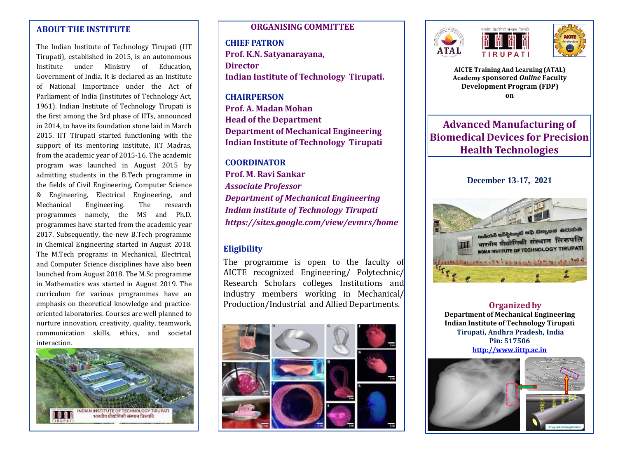# **ABOUT THE INSTITUTE**

The Indian Institute of Technology Tirupati (IIT Tirupati), established in 2015, is an autonomous Institute under Ministry of Education, Government of India. It is declared as an Institute of National Importance under the Act of Parliament of India (Institutes of Technology Act, 1961). Indian Institute of Technology Tirupati is the first among the 3rd phase of IITs, announced in 2014, to have its foundation stone laid in March 2015. IIT Tirupati started functioning with the support of its mentoring institute, IIT Madras, from the academic year of 2015-16. The academic program was launched in August 2015 by admitting students in the B.Tech programme in the fields of Civil Engineering, Computer Science & Engineering, Electrical Engineering, and Mechanical Engineering. The research programmes namely, the MS and Ph.D. programmes have started from the academic year 2017. Subsequently, the new B.Tech programme in Chemical Engineering started in August 2018. The M.Tech programs in Mechanical, Electrical, and Computer Science disciplines have also been launched from August 2018. The M.Sc programme in Mathematics was started in August 2019. The curriculum for various programmes have an emphasis on theoretical knowledge and practiceoriented laboratories. Courses are well planned to nurture innovation, creativity, quality, teamwork, communication skills, ethics, and societal interaction.



#### **ORGANISING COMMITTEE**

**CHIEF PATRON Prof. K.N. Satyanarayana, Director Indian Institute of Technology Tirupati.**

**CHAIRPERSON Prof. A. Madan Mohan Head of the Department Department of Mechanical Engineering Indian Institute of Technology Tirupati**

#### **COORDINATOR Prof. M. Ravi Sankar**

*Associate Professor Department of Mechanical Engineering Indian institute of Technology Tirupati https://sites.google.com/view/evmrs/home*

## **Eligibility**

The programme is open to the faculty of AICTE recognized Engineering/ Polytechnic/ Research Scholars colleges Institutions and industry members working in Mechanical/ Production/Industrial and Allied Departments.









**AICTE Training And Learning (ATAL) Academy sponsored** *Online* **Faculty Development Program (FDP) on**

**Advanced Manufacturing of Biomedical Devices for Precision Health Technologies**

**December 13-17, 2021**



**Organized by Department of Mechanical Engineering Indian Institute of Technology Tirupati Tirupati, Andhra Pradesh, India Pin: 517506 [http://www.iittp.ac.in](http://www.iittp.ac.in/)**